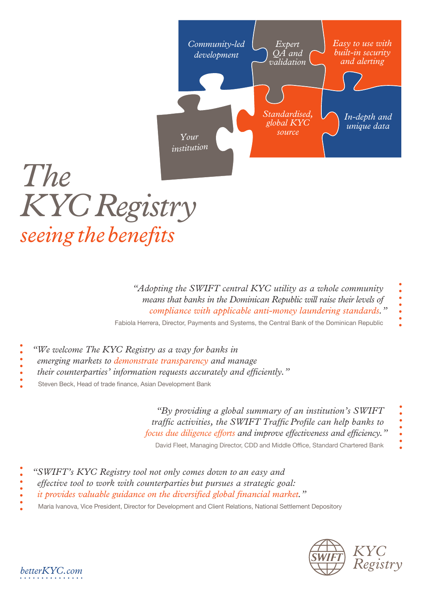

*"Adopting the SWIFT central KYC utility as a whole community means that banks in the Dominican Republic will raise their levels of compliance with applicable anti-money laundering standards."*

Fabiola Herrera, Director, Payments and Systems, the Central Bank of the Dominican Republic

- *"We welcome The KYC Registry as a way for banks in*
- *emerging markets to demonstrate transparency and manage*
- *their counterparties' information requests accurately and efficiently."*
- Steven Beck, Head of trade finance, Asian Development Bank

*"By providing a global summary of an institution's SWIFT traffic activities, the SWIFT Traffic Profile can help banks to focus due diligence efforts and improve effectiveness and efficiency."* 

David Fleet, Managing Director, CDD and Middle Office, Standard Chartered Bank

- *"SWIFT's KYC Registry tool not only comes down to an easy and*
- *effective tool to work with counterparties but pursues a strategic goal:*
- *it provides valuable guidance on the diversified global financial market."*
- Maria Ivanova, Vice President, Director for Development and Client Relations, National Settlement Depository